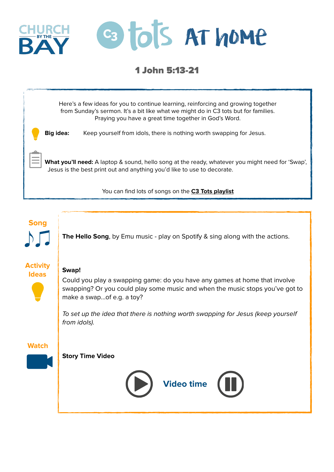

## 1 John 5:13-21



**Song**

**The Hello Song**, by Emu music - play on Spotify & sing along with the actions.

## **Activity Ideas**



Could you play a swapping game: do you have any games at home that involve swapping? Or you could play some music and when the music stops you've got to make a swap…of e.g. a toy?

*To set up the idea that there is nothing worth swapping for Jesus (keep yourself from idols).* 

**Watch**

## **Story Time Video**

**Swap!** 

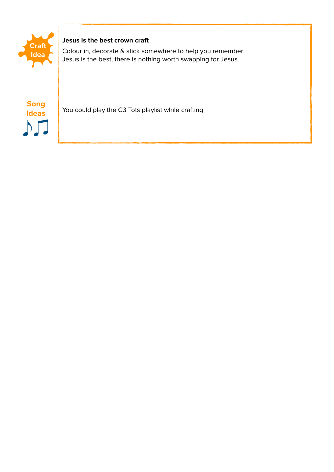

## **Jesus is the best crown craft**

Colour in, decorate & stick somewhere to help you remember: Jesus is the best, there is nothing worth swapping for Jesus.

**Ideas**  $\mathcal{M}$ 

**Song**<br>Ideas You could play the C3 Tots playlist while crafting!